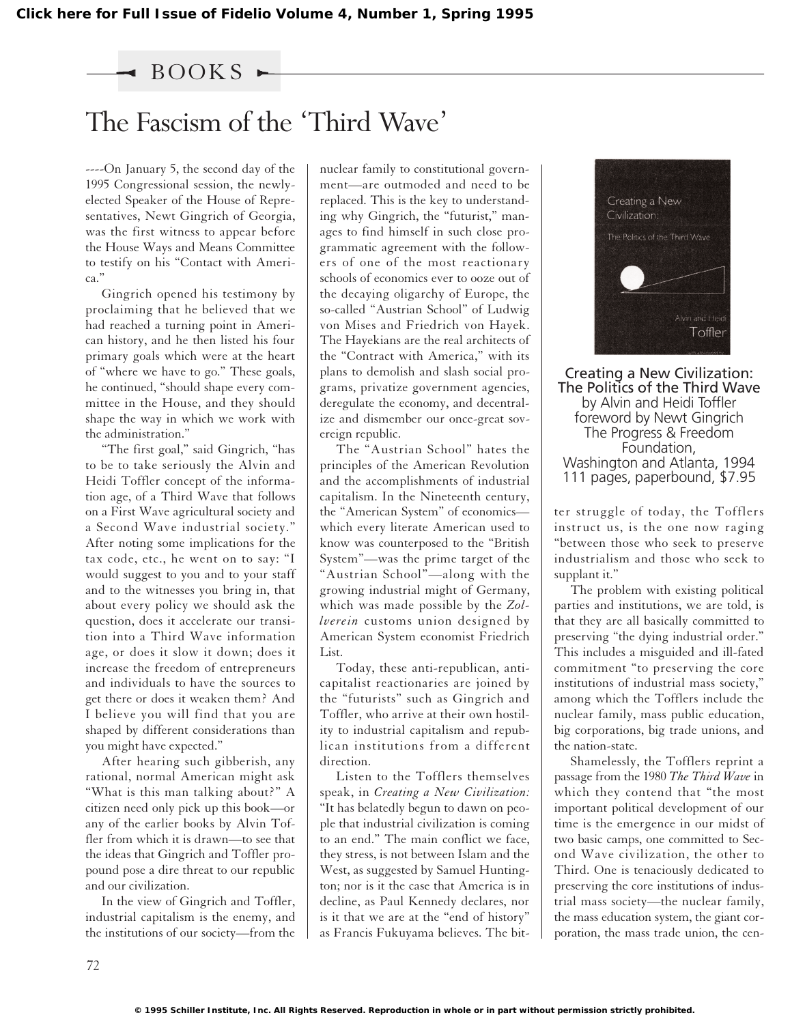### $\rightarrow$  BOOKS

## The Fascism of the 'Third Wave'

----On January 5, the second day of the 1995 Congressional session, the newlyelected Speaker of the House of Representatives, Newt Gingrich of Georgia, was the first witness to appear before the House Ways and Means Committee to testify on his "Contact with America."

Gingrich opened his testimony by proclaiming that he believed that we had reached a turning point in American history, and he then listed his four primary goals which were at the heart of "where we have to go." These goals, he continued, "should shape every committee in the House, and they should shape the way in which we work with the administration."

"The first goal," said Gingrich, "has to be to take seriously the Alvin and Heidi Toffler concept of the information age, of a Third Wave that follows on a First Wave agricultural society and a Second Wave industrial society." After noting some implications for the tax code, etc., he went on to say: "I would suggest to you and to your staff and to the witnesses you bring in, that about every policy we should ask the question, does it accelerate our transition into a Third Wave information age, or does it slow it down; does it increase the freedom of entrepreneurs and individuals to have the sources to get there or does it weaken them? And I believe you will find that you are shaped by different considerations than you might have expected."

After hearing such gibberish, any rational, normal American might ask "What is this man talking about?" A citizen need only pick up this book—or any of the earlier books by Alvin Toffler from which it is drawn—to see that the ideas that Gingrich and Toffler propound pose a dire threat to our republic and our civilization.

In the view of Gingrich and Toffler, industrial capitalism is the enemy, and the institutions of our society—from the nuclear family to constitutional government—are outmoded and need to be replaced. This is the key to understanding why Gingrich, the "futurist," manages to find himself in such close programmatic agreement with the followers of one of the most reactionary schools of economics ever to ooze out of the decaying oligarchy of Europe, the so-called "Austrian School" of Ludwig von Mises and Friedrich von Hayek. The Hayekians are the real architects of the "Contract with America," with its plans to demolish and slash social programs, privatize government agencies, deregulate the economy, and decentralize and dismember our once-great sovereign republic.

The "Austrian School" hates the principles of the American Revolution and the accomplishments of industrial capitalism. In the Nineteenth century, the "American System" of economics which every literate American used to know was counterposed to the "British System"—was the prime target of the "Austrian School"—along with the growing industrial might of Germany, which was made possible by the *Zollverein* customs union designed by American System economist Friedrich List.

Today, these anti-republican, anticapitalist reactionaries are joined by the "futurists" such as Gingrich and Toffler, who arrive at their own hostility to industrial capitalism and republican institutions from a different direction.

Listen to the Tofflers themselves speak, in *Creating a New Civilization:* "It has belatedly begun to dawn on people that industrial civilization is coming to an end." The main conflict we face, they stress, is not between Islam and the West, as suggested by Samuel Huntington; nor is it the case that America is in decline, as Paul Kennedy declares, nor is it that we are at the "end of history" as Francis Fukuyama believes. The bit-



Creating a New Civilization: The Politics of the Third Wave by Alvin and Heidi Toffler foreword by Newt Gingrich The Progress & Freedom Foundation, Washington and Atlanta, 1994 111 pages, paperbound, \$7.95

ter struggle of today, the Tofflers instruct us, is the one now raging "between those who seek to preserve industrialism and those who seek to supplant it."

The problem with existing political parties and institutions, we are told, is that they are all basically committed to preserving "the dying industrial order." This includes a misguided and ill-fated commitment "to preserving the core institutions of industrial mass society," among which the Tofflers include the nuclear family, mass public education, big corporations, big trade unions, and the nation-state.

Shamelessly, the Tofflers reprint a passage from the 1980 *The Third Wave* in which they contend that "the most important political development of our time is the emergence in our midst of two basic camps, one committed to Second Wave civilization, the other to Third. One is tenaciously dedicated to preserving the core institutions of industrial mass society—the nuclear family, the mass education system, the giant corporation, the mass trade union, the cen